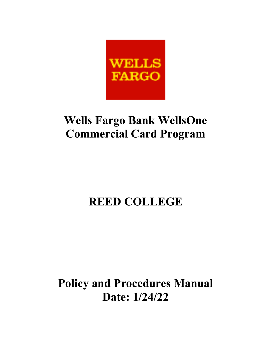

# **Wells Fargo Bank WellsOne Commercial Card Program**

# **REED COLLEGE**

**Policy and Procedures Manual Date: 1/24/22**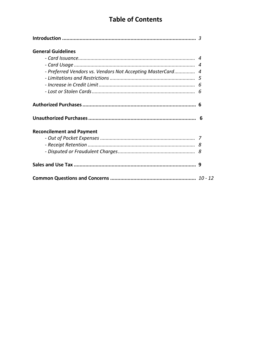# **Table of Contents**

| <b>General Guidelines</b>                                  |  |
|------------------------------------------------------------|--|
|                                                            |  |
|                                                            |  |
| - Preferred Vendors vs. Vendors Not Accepting MasterCard 4 |  |
|                                                            |  |
|                                                            |  |
|                                                            |  |
|                                                            |  |
|                                                            |  |
| <b>Reconcilement and Payment</b>                           |  |
|                                                            |  |
|                                                            |  |
|                                                            |  |
|                                                            |  |
|                                                            |  |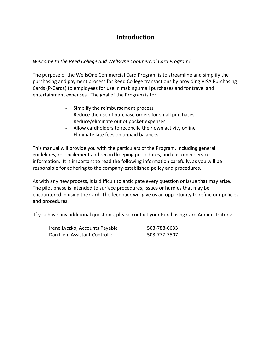# **Introduction**

# *Welcome to the Reed College and WellsOne Commercial Card Program!*

The purpose of the WellsOne Commercial Card Program is to streamline and simplify the purchasing and payment process for Reed College transactions by providing VISA Purchasing Cards (P-Cards) to employees for use in making small purchases and for travel and entertainment expenses. The goal of the Program is to:

- Simplify the reimbursement process
- Reduce the use of purchase orders for small purchases
- Reduce/eliminate out of pocket expenses
- Allow cardholders to reconcile their own activity online
- Eliminate late fees on unpaid balances

This manual will provide you with the particulars of the Program, including general guidelines, reconcilement and record keeping procedures, and customer service information. It is important to read the following information carefully, as you will be responsible for adhering to the company-established policy and procedures.

As with any new process, it is difficult to anticipate every question or issue that may arise. The pilot phase is intended to surface procedures, issues or hurdles that may be encountered in using the Card. The feedback will give us an opportunity to refine our policies and procedures.

If you have any additional questions, please contact your Purchasing Card Administrators:

| Irene Lyczko, Accounts Payable | 503-788-6633 |
|--------------------------------|--------------|
| Dan Lien, Assistant Controller | 503-777-7507 |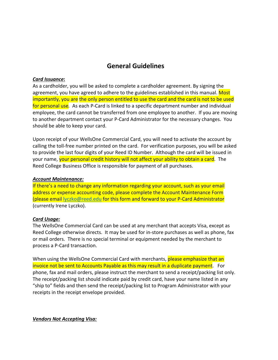# **General Guidelines**

## *Card Issuance***:**

As a cardholder, you will be asked to complete a cardholder agreement. By signing the agreement, you have agreed to adhere to the guidelines established in this manual. Most importantly, you are the only person entitled to use the card and the card is not to be used for personal use*.* As each P-Card is linked to a specific department number and individual employee, the card cannot be transferred from one employee to another. If you are moving to another department contact your P-Card Administrator for the necessary changes. You should be able to keep your card.

Upon receipt of your WellsOne Commercial Card, you will need to activate the account by calling the toll-free number printed on the card. For verification purposes, you will be asked to provide the last four digits of your Reed ID Number. Although the card will be issued in your name, your personal credit history will not affect your ability to obtain a card. The Reed College Business Office is responsible for payment of all purchases.

## *Account Maintenance:*

If there's a need to change any information regarding your account, such as your email address or expense accounting code, please complete the Account Maintenance Form (please email lyczko@reed.edu for this form and forward to your P-Card Administrator (currently Irene Lyczko).

### *Card Usage:*

The WellsOne Commercial Card can be used at any merchant that accepts Visa, except as Reed College otherwise directs. It may be used for in-store purchases as well as phone, fax or mail orders. There is no special terminal or equipment needed by the merchant to process a P-Card transaction.

When using the WellsOne Commercial Card with merchants, please emphasize that an invoice not be sent to Accounts Payable as this may result in a duplicate payment. For phone, fax and mail orders, please instruct the merchant to send a receipt/packing list only. The receipt/packing list should indicate paid by credit card, have your name listed in any "ship to" fields and then send the receipt/packing list to Program Administrator with your receipts in the receipt envelope provided.

*Vendors Not Accepting Visa:*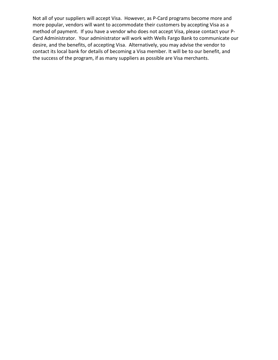Not all of your suppliers will accept Visa. However, as P-Card programs become more and more popular, vendors will want to accommodate their customers by accepting Visa as a method of payment. If you have a vendor who does not accept Visa, please contact your P-Card Administrator. Your administrator will work with Wells Fargo Bank to communicate our desire, and the benefits, of accepting Visa. Alternatively, you may advise the vendor to contact its local bank for details of becoming a Visa member. It will be to our benefit, and the success of the program, if as many suppliers as possible are Visa merchants.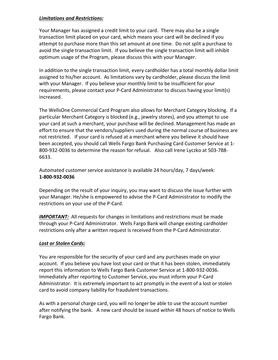## *Limitations and Restrictions:*

Your Manager has assigned a credit limit to your card. There may also be a single transaction limit placed on your card, which means your card will be declined if you attempt to purchase more than this set amount at one time. Do not split a purchase to avoid the single transaction limit. If you believe the single transaction limit will inhibit optimum usage of the Program, please discuss this with your Manager.

In addition to the single transaction limit, every cardholder has a total monthly dollar limit assigned to his/her account. As limitations vary by cardholder, please discuss the limit with your Manager. If you believe your monthly limit to be insufficient for your requirements, please contact your P-Card Administrator to discuss having your limit(s) increased.

The WellsOne Commercial Card Program also allows for Merchant Category blocking. If a particular Merchant Category is blocked (e.g., jewelry stores), and you attempt to use your card at such a merchant, your purchase will be declined. Management has made an effort to ensure that the vendors/suppliers used during the normal course of business are not restricted. If your card is refused at a merchant where you believe it should have been accepted, you should call Wells Fargo Bank Purchasing Card Customer Service at 1- 800-932-0036 to determine the reason for refusal. Also call Irene Lyczko at 503-788- 6633.

Automated customer service assistance is available 24 hours/day, 7 days/week: **1-800-932-0036**

Depending on the result of your inquiry, you may want to discuss the issue further with your Manager. He/she is empowered to advise the P-Card Administrator to modify the restrictions on your use of the P-Card.

**IMPORTANT:** All requests for changes in limitations and restrictions must be made through your P-Card Administrator. Wells Fargo Bank will change existing cardholder restrictions only after a written request is received from the P-Card Administrator.

# *Lost or Stolen Cards:*

You are responsible for the security of your card and any purchases made on your account. If you believe you have lost your card or that it has been stolen, immediately report this information to Wells Fargo Bank Customer Service at 1-800-932-0036. Immediately after reporting to Customer Service, you must inform your P-Card Administrator. It is extremely important to act promptly in the event of a lost or stolen card to avoid company liability for fraudulent transactions.

As with a personal charge card, you will no longer be able to use the account number after notifying the bank. A new card should be issued *within* 48 hours of notice to Wells Fargo Bank.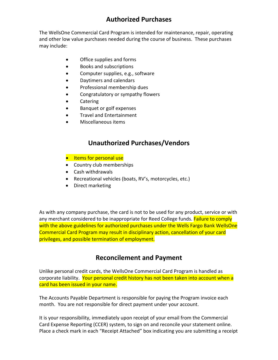# **Authorized Purchases**

The WellsOne Commercial Card Program is intended for maintenance, repair, operating and other low value purchases needed during the course of business. These purchases may include:

- Office supplies and forms
- Books and subscriptions
- Computer supplies, e.g., software
- Daytimers and calendars
- Professional membership dues
- Congratulatory or sympathy flowers
- Catering
- Banquet or golf expenses
- Travel and Entertainment
- Miscellaneous items

# **Unauthorized Purchases/Vendors**

- **•** Items for personal use
- Country club memberships
- Cash withdrawals
- Recreational vehicles (boats, RV's, motorcycles, etc.)
- Direct marketing

As with any company purchase, the card is not to be used for any product, service or with any merchant considered to be inappropriate for Reed College funds. Failure to comply with the above guidelines for authorized purchases under the Wells Fargo Bank WellsOne Commercial Card Program may result in disciplinary action, cancellation of your card privileges, and possible termination of employment.

# **Reconcilement and Payment**

Unlike personal credit cards, the WellsOne Commercial Card Program is handled as corporate liability. Your personal credit history has not been taken into account when a card has been issued in your name.

The Accounts Payable Department is responsible for paying the Program invoice each month. You are not responsible for direct payment under your account.

It is your responsibility, immediately upon receipt of your email from the Commercial Card Expense Reporting (CCER) system, to sign on and reconcile your statement online. Place a check mark in each "Receipt Attached" box indicating you are submitting a receipt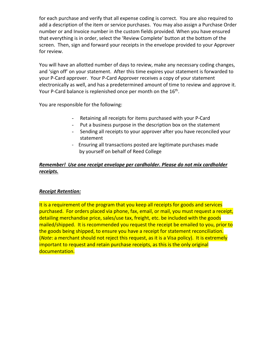for each purchase and verify that all expense coding is correct. You are also required to add a description of the item or service purchases. You may also assign a Purchase Order number or and Invoice number in the custom fields provided. When you have ensured that everything is in order, select the 'Review Complete' button at the bottom of the screen. Then, sign and forward your receipts in the envelope provided to your Approver for review.

You will have an allotted number of days to review, make any necessary coding changes, and 'sign off' on your statement. After this time expires your statement is forwarded to your P-Card approver. Your P-Card Approver receives a copy of your statement electronically as well, and has a predetermined amount of time to review and approve it. Your P-Card balance is replenished once per month on the 16<sup>th</sup>.

You are responsible for the following:

- Retaining all receipts for items purchased with your P-Card
- Put a business purpose in the description box on the statement
- Sending all receipts to your approver after you have reconciled your statement
- Ensuring all transactions posted are legitimate purchases made by yourself on behalf of Reed College

# *Remember! Use one receipt envelope per cardholder. Please do not mix cardholder receipts.*

# *Receipt Retention:*

It is a requirement of the program that you keep all receipts for goods and services purchased. For orders placed via phone, fax, email, or mail, you must request a receipt, detailing merchandise price, sales/use tax, freight, etc. be included with the goods mailed/shipped. It is recommended you request the receipt be emailed to you, prior to the goods being shipped, to ensure you have a receipt for statement reconciliation. (*Note*: a merchant should not reject this request, as it is a Visa policy). It is extremely important to request and retain purchase receipts, as this is the only original documentation.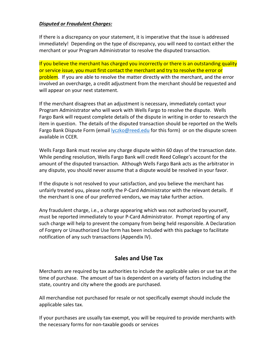## *Disputed or Fraudulent Charges:*

If there is a discrepancy on your statement, it is imperative that the issue is addressed immediately! Depending on the type of discrepancy, you will need to contact either the merchant or your Program Administrator to resolve the disputed transaction.

If you believe the merchant has charged you incorrectly or there is an outstanding quality or service issue, you must first contact the merchant and try to resolve the error or problem. If you are able to resolve the matter directly with the merchant, and the error involved an overcharge, a credit adjustment from the merchant should be requested and will appear on your next statement.

If the merchant disagrees that an adjustment is necessary, immediately contact your Program Administrator who will work with Wells Fargo to resolve the dispute. Wells Fargo Bank will request complete details of the dispute in writing in order to research the item in question. The details of the disputed transaction should be reported on the Wells Fargo Bank Dispute Form (email lyczko@reed.edu for this form) or on the dispute screen available in CCER.

Wells Fargo Bank must receive any charge dispute within 60 days of the transaction date. While pending resolution, Wells Fargo Bank will credit Reed College's account for the amount of the disputed transaction. Although Wells Fargo Bank acts as the arbitrator in any dispute, you should never assume that a dispute would be resolved in your favor.

If the dispute is not resolved to your satisfaction, and you believe the merchant has unfairly treated you, please notify the P-Card Administrator with the relevant details. If the merchant is one of our preferred vendors, we may take further action.

Any fraudulent charge, i.e., a charge appearing which was not authorized by yourself, must be reported immediately to your P-Card Administrator. Prompt reporting of any such charge will help to prevent the company from being held responsible. A Declaration of Forgery or Unauthorized Use form has been included with this package to facilitate notification of any such transactions (Appendix IV).

# **Sales and Use Tax**

Merchants are required by tax authorities to include the applicable sales or use tax at the time of purchase. The amount of tax is dependent on a variety of factors including the state, country and city where the goods are purchased.

All merchandise not purchased for resale or not specifically exempt should include the applicable sales tax.

If your purchases are usually tax-exempt, you will be required to provide merchants with the necessary forms for non-taxable goods or services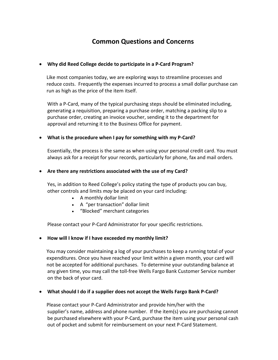# **Common Questions and Concerns**

## • **Why did Reed College decide to participate in a P-Card Program?**

 Like most companies today, we are exploring ways to streamline processes and reduce costs. Frequently the expenses incurred to process a small dollar purchase can run as high as the price of the item itself.

With a P-Card, many of the typical purchasing steps should be eliminated including, generating a requisition, preparing a purchase order, matching a packing slip to a purchase order, creating an invoice voucher, sending it to the department for approval and returning it to the Business Office for payment.

## • **What is the procedure when I pay for something with my P-Card?**

Essentially, the process is the same as when using your personal credit card. You must always ask for a receipt for your records, particularly for phone, fax and mail orders.

### • **Are there any restrictions associated with the use of my Card?**

Yes, in addition to Reed College's policy stating the type of products you can buy, other controls and limits *may* be placed on your card including:

- A monthly dollar limit
- A "per transaction" dollar limit
- "Blocked" merchant categories

Please contact your P-Card Administrator for your specific restrictions.

### • **How will I know if I have exceeded my monthly limit?**

 You may consider maintaining a log of your purchases to keep a running total of your expenditures. Once you have reached your limit within a given month, your card will not be accepted for additional purchases. To determine your outstanding balance at any given time, you may call the toll-free Wells Fargo Bank Customer Service number on the back of your card.

### • **What should I do if a supplier does not accept the Wells Fargo Bank P-Card?**

 Please contact your P-Card Administrator and provide him/her with the supplier's name, address and phone number. If the item(s) you are purchasing cannot be purchased elsewhere with your P-Card, purchase the item using your personal cash out of pocket and submit for reimbursement on your next P-Card Statement.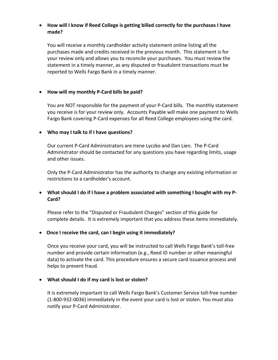# • **How will I know if Reed College is getting billed correctly for the purchases I have made?**

You will receive a monthly cardholder activity statement online listing all the purchases made and credits received in the previous month. This statement is for your review only and allows you to reconcile your purchases. You must review the statement in a timely manner, as any disputed or fraudulent transactions must be reported to Wells Fargo Bank in a timely manner.

# • **How will my monthly P-Card bills be paid?**

You are NOT responsible for the payment of your P-Card bills. The monthly statement you receive is for your review only. Accounts Payable will make one payment to Wells Fargo Bank covering P-Card expenses for all Reed College employees using the card.

# • **Who may I talk to if I have questions?**

Our current P-Card Administrators are Irene Lyczko and Dan Lien. The P-Card Administrator should be contacted for any questions you have regarding limits, usage and other issues.

Only the P-Card Administrator has the authority to change any existing information or restrictions to a cardholder's account.

# • **What should I do if I have a problem associated with something I bought with my P-Card?**

 Please refer to the "Disputed or Fraudulent Charges" section of this guide for complete details. It is extremely important that you address these items immediately.

### • **Once I receive the card, can I begin using it immediately?**

Once you receive your card, you will be instructed to call Wells Fargo Bank's toll-free number and provide certain information (e.g., Reed ID number or other meaningful data) to activate the card. This procedure ensures a secure card issuance process and helps to prevent fraud.

# • **What should I do if my card is lost or stolen?**

It is extremely important to call Wells Fargo Bank's Customer Service toll-free number (1-800-932-0036) immediately in the event your card is lost or stolen. You must also notify your P-Card Administrator.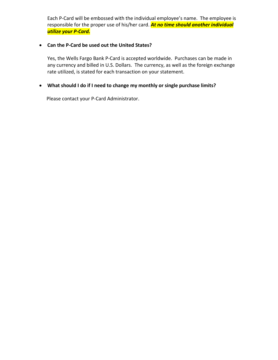Each P-Card will be embossed with the individual employee's name. The employee is responsible for the proper use of his/her card. *At no time should another individual utilize your P-Card.*

## • **Can the P-Card be used out the United States?**

Yes, the Wells Fargo Bank P-Card is accepted worldwide. Purchases can be made in any currency and billed in U.S. Dollars. The currency, as well as the foreign exchange rate utilized, is stated for each transaction on your statement.

## • **What should I do if I need to change my monthly or single purchase limits?**

Please contact your P-Card Administrator.